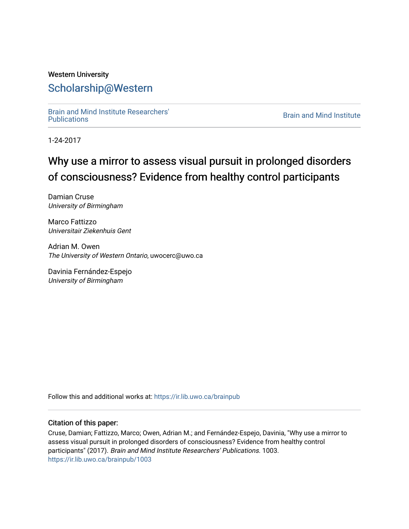# Western University [Scholarship@Western](https://ir.lib.uwo.ca/)

[Brain and Mind Institute Researchers'](https://ir.lib.uwo.ca/brainpub) 

**Brain and Mind Institute** 

1-24-2017

# Why use a mirror to assess visual pursuit in prolonged disorders of consciousness? Evidence from healthy control participants

Damian Cruse University of Birmingham

Marco Fattizzo Universitair Ziekenhuis Gent

Adrian M. Owen The University of Western Ontario, uwocerc@uwo.ca

Davinia Fernández-Espejo University of Birmingham

Follow this and additional works at: [https://ir.lib.uwo.ca/brainpub](https://ir.lib.uwo.ca/brainpub?utm_source=ir.lib.uwo.ca%2Fbrainpub%2F1003&utm_medium=PDF&utm_campaign=PDFCoverPages)

### Citation of this paper:

Cruse, Damian; Fattizzo, Marco; Owen, Adrian M.; and Fernández-Espejo, Davinia, "Why use a mirror to assess visual pursuit in prolonged disorders of consciousness? Evidence from healthy control participants" (2017). Brain and Mind Institute Researchers' Publications. 1003. [https://ir.lib.uwo.ca/brainpub/1003](https://ir.lib.uwo.ca/brainpub/1003?utm_source=ir.lib.uwo.ca%2Fbrainpub%2F1003&utm_medium=PDF&utm_campaign=PDFCoverPages)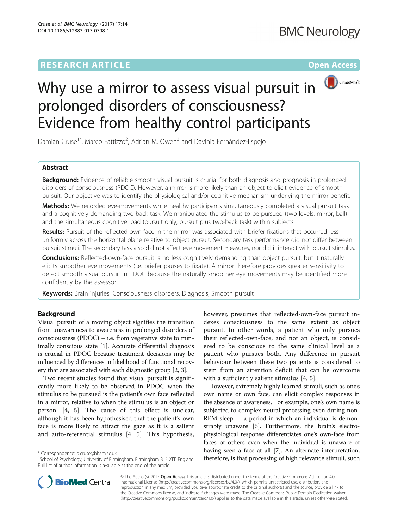## **RESEARCH ARTICLE External Structure Community Community Community Community Community Community Community Community**



# Why use a mirror to assess visual pursuit in prolonged disorders of consciousness? Evidence from healthy control participants

Damian Cruse<sup>1\*</sup>, Marco Fattizzo<sup>2</sup>, Adrian M. Owen<sup>3</sup> and Davinia Fernández-Espejo<sup>1</sup>

#### Abstract

**Background:** Evidence of reliable smooth visual pursuit is crucial for both diagnosis and prognosis in prolonged disorders of consciousness (PDOC). However, a mirror is more likely than an object to elicit evidence of smooth pursuit. Our objective was to identify the physiological and/or cognitive mechanism underlying the mirror benefit.

Methods: We recorded eye-movements while healthy participants simultaneously completed a visual pursuit task and a cognitively demanding two-back task. We manipulated the stimulus to be pursued (two levels: mirror, ball) and the simultaneous cognitive load (pursuit only, pursuit plus two-back task) within subjects.

Results: Pursuit of the reflected-own-face in the mirror was associated with briefer fixations that occurred less uniformly across the horizontal plane relative to object pursuit. Secondary task performance did not differ between pursuit stimuli. The secondary task also did not affect eye movement measures, nor did it interact with pursuit stimulus.

**Conclusions:** Reflected-own-face pursuit is no less cognitively demanding than object pursuit, but it naturally elicits smoother eye movements (i.e. briefer pauses to fixate). A mirror therefore provides greater sensitivity to detect smooth visual pursuit in PDOC because the naturally smoother eye movements may be identified more confidently by the assessor.

Keywords: Brain injuries, Consciousness disorders, Diagnosis, Smooth pursuit

#### Background

Visual pursuit of a moving object signifies the transition from unawareness to awareness in prolonged disorders of consciousness (PDOC) – i.e. from vegetative state to minimally conscious state [\[1](#page-4-0)]. Accurate differential diagnosis is crucial in PDOC because treatment decisions may be influenced by differences in likelihood of functional recovery that are associated with each diagnostic group [\[2](#page-4-0), [3](#page-4-0)].

Two recent studies found that visual pursuit is significantly more likely to be observed in PDOC when the stimulus to be pursued is the patient's own face reflected in a mirror, relative to when the stimulus is an object or person. [[4](#page-4-0), [5](#page-5-0)]. The cause of this effect is unclear, although it has been hypothesised that the patient's own face is more likely to attract the gaze as it is a salient and auto-referential stimulus [[4,](#page-4-0) [5](#page-5-0)]. This hypothesis,

however, presumes that reflected-own-face pursuit indexes consciousness to the same extent as object pursuit. In other words, a patient who only pursues their reflected-own-face, and not an object, is considered to be conscious to the same clinical level as a patient who pursues both. Any difference in pursuit behaviour between these two patients is considered to stem from an attention deficit that can be overcome with a sufficiently salient stimulus [\[4](#page-4-0), [5](#page-5-0)].

However, extremely highly learned stimuli, such as one's own name or own face, can elicit complex responses in the absence of awareness. For example, one's own name is subjected to complex neural processing even during non- $REM$  sleep  $-$  a period in which an individual is demonstrably unaware [[6\]](#page-5-0). Furthermore, the brain's electrophysiological response differentiates one's own-face from faces of others even when the individual is unaware of having seen a face at all [\[7](#page-5-0)]. An alternate interpretation, thermal seem a nace at all [7]. An alcondence: [d.cruse@bham.ac.uk](mailto:d.cruse@bham.ac.uk)<br>Ischool of Psychology, University of Birmingham, Birmingham B15 2TT, England therefore, is that processing of high relevance stimuli, such



© The Author(s). 2017 **Open Access** This article is distributed under the terms of the Creative Commons Attribution 4.0 International License [\(http://creativecommons.org/licenses/by/4.0/](http://creativecommons.org/licenses/by/4.0/)), which permits unrestricted use, distribution, and reproduction in any medium, provided you give appropriate credit to the original author(s) and the source, provide a link to the Creative Commons license, and indicate if changes were made. The Creative Commons Public Domain Dedication waiver [\(http://creativecommons.org/publicdomain/zero/1.0/](http://creativecommons.org/publicdomain/zero/1.0/)) applies to the data made available in this article, unless otherwise stated.

<sup>&</sup>lt;sup>1</sup> School of Psychology, University of Birmingham, Birmingham B15 2TT, England Full list of author information is available at the end of the article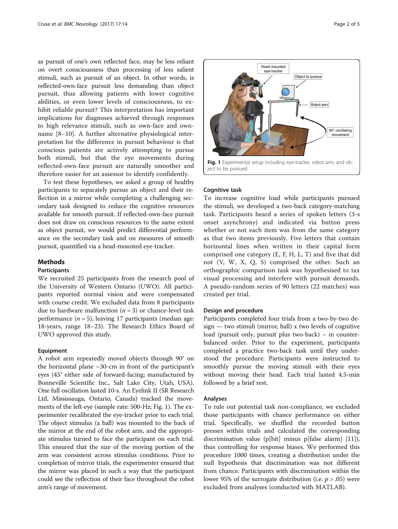as pursuit of one's own reflected face, may be less reliant on overt consciousness than processing of less salient stimuli, such as pursuit of an object. In other words, is reflected-own-face pursuit less demanding than object pursuit, thus allowing patients with lower cognitive abilities, or even lower levels of consciousness, to exhibit reliable pursuit? This interpretation has important implications for diagnoses achieved through responses to high relevance stimuli, such as own-face and ownname [[8](#page-5-0)–[10\]](#page-5-0). A further alternative physiological interpretation for the difference in pursuit behaviour is that conscious patients are actively attempting to pursue both stimuli, but that the eye movements during reflected-own-face pursuit are naturally smoother and therefore easier for an assessor to identify confidently.

To test these hypotheses, we asked a group of healthy participants to separately pursue an object and their reflection in a mirror while completing a challenging secondary task designed to reduce the cognitive resources available for smooth pursuit. If reflected-own-face pursuit does not draw on conscious resources to the same extent as object pursuit, we would predict differential performance on the secondary task and on measures of smooth pursuit, quantified via a head-mounted eye-tracker.

#### Methods

#### Participants

We recruited 25 participants from the research pool of the University of Western Ontario (UWO). All participants reported normal vision and were compensated with course credit. We excluded data from 8 participants due to hardware malfunction  $(n = 3)$  or chance-level task performance  $(n = 5)$ , leaving 17 participants (median age: 18-years, range 18–23). The Research Ethics Board of UWO approved this study.

#### Equipment

A robot arm repeatedly moved objects through 90° on the horizontal plane  $\sim$ 30-cm in front of the participant's eyes (45° either side of forward-facing; manufactured by Bonneville Scientific Inc., Salt Lake City, Utah, USA). One full oscillation lasted 10-s. An Eyelink II (SR Research Ltd, Mississauga, Ontario, Canada) tracked the movements of the left-eye (sample rate: 500-Hz; Fig. 1). The experimenter recalibrated the eye-tracker prior to each trial. The object stimulus (a ball) was mounted to the back of the mirror at the end of the robot arm, and the appropriate stimulus turned to face the participant on each trial. This ensured that the size of the moving portion of the arm was consistent across stimulus conditions. Prior to completion of mirror trials, the experimenter ensured that the mirror was placed in such a way that the participant could see the reflection of their face throughout the robot arm's range of movement.



#### Cognitive task

To increase cognitive load while participants pursued the stimuli, we developed a two-back category-matching task. Participants heard a series of spoken letters (3-s onset asynchrony) and indicated via button press whether or not each item was from the same category as that two items previously. Five letters that contain horizontal lines when written in their capital form comprised one category (E, F, H, L, T) and five that did not (V, W, X, Q, S) comprised the other. Such an orthographic comparison task was hypothesised to tax visual processing and interfere with pursuit demands. A pseudo-random series of 90 letters (22 matches) was created per trial.

#### Design and procedure

Participants completed four trials from a two-by-two design — two stimuli (mirror, ball) x two levels of cognitive load (pursuit only, pursuit plus two-back) – in counterbalanced order. Prior to the experiment, participants completed a practice two-back task until they understood the procedure. Participants were instructed to smoothly pursue the moving stimuli with their eyes without moving their head. Each trial lasted 4.5-min followed by a brief rest.

#### Analyses

To rule out potential task non-compliance, we excluded those participants with chance performance on either trial. Specifically, we shuffled the recorded button presses within trials and calculated the corresponding discrimination value (p[hit] minus p[false alarm] [\[11](#page-5-0)]), thus controlling for response biases. We performed this procedure 1000 times, creating a distribution under the null hypothesis that discrimination was not different from chance. Participants with discrimination within the lower 95% of the surrogate distribution (i.e.  $p > .05$ ) were excluded from analyses (conducted with MATLAB).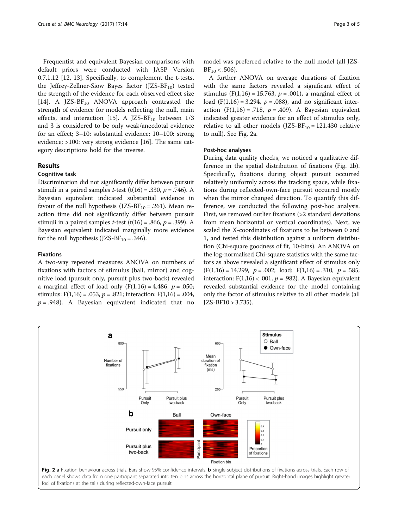Frequentist and equivalent Bayesian comparisons with default priors were conducted with JASP Version 0.7.1.12 [[12](#page-5-0), [13\]](#page-5-0). Specifically, to complement the t-tests, the Jeffrey-Zellner-Siow Bayes factor  $(JZS-BF_{10})$  tested the strength of the evidence for each observed effect size [[14\]](#page-5-0). A JZS- $BF_{10}$  ANOVA approach contrasted the strength of evidence for models reflecting the null, main effects, and interaction [[15](#page-5-0)]. A JZS-BF<sub>10</sub> between  $1/3$ and 3 is considered to be only weak/anecdotal evidence for an effect; 3–10: substantial evidence; 10–100: strong evidence; >100: very strong evidence [[16](#page-5-0)]. The same category descriptions hold for the inverse.

#### Results

#### Cognitive task

Discrimination did not significantly differ between pursuit stimuli in a paired samples *t*-test (t(16) = .330,  $p = .746$ ). A Bayesian equivalent indicated substantial evidence in favour of the null hypothesis (JZS-BF<sub>10</sub> = .261). Mean reaction time did not significantly differ between pursuit stimuli in a paired samples *t*-test (t(16) = .866,  $p = .399$ ). A Bayesian equivalent indicated marginally more evidence for the null hypothesis (JZS-BF<sub>10</sub> = .346).

#### Fixations

A two-way repeated measures ANOVA on numbers of fixations with factors of stimulus (ball, mirror) and cognitive load (pursuit only, pursuit plus two-back) revealed a marginal effect of load only  $(F(1,16) = 4.486, p = .050;$ stimulus:  $F(1,16) = .053$ ,  $p = .821$ ; interaction:  $F(1,16) = .004$ ,  $p = .948$ ). A Bayesian equivalent indicated that no model was preferred relative to the null model (all JZS- $BF_{10}$  < .506).

A further ANOVA on average durations of fixation with the same factors revealed a significant effect of stimulus (F(1,16) = 15.763,  $p = .001$ ), a marginal effect of load  $(F(1,16) = 3.294, p = .088)$ , and no significant interaction  $(F(1,16) = .718, p = .409)$ . A Bayesian equivalent indicated greater evidence for an effect of stimulus only, relative to all other models (JZS-BF<sub>10</sub> = 121.430 relative to null). See Fig. 2a.

#### Post-hoc analyses

During data quality checks, we noticed a qualitative difference in the spatial distribution of fixations (Fig. 2b). Specifically, fixations during object pursuit occurred relatively uniformly across the tracking space, while fixations during reflected-own-face pursuit occurred mostly when the mirror changed direction. To quantify this difference, we conducted the following post-hoc analysis. First, we removed outlier fixations (>2 standard deviations from mean horizontal or vertical coordinates). Next, we scaled the X-coordinates of fixations to be between 0 and 1, and tested this distribution against a uniform distribution (Chi-square goodness of fit, 10-bins). An ANOVA on the log-normalised Chi-square statistics with the same factors as above revealed a significant effect of stimulus only  $(F(1,16) = 14.299, p = .002; load: F(1,16) = .310, p = .585;$ interaction:  $F(1,16) < .001$ ,  $p = .982$ ). A Bayesian equivalent revealed substantial evidence for the model containing only the factor of stimulus relative to all other models (all JZS-BF10 > 3.735).

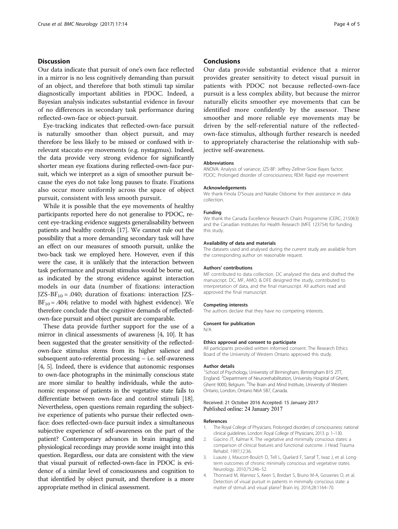#### <span id="page-4-0"></span>**Discussion**

Our data indicate that pursuit of one's own face reflected in a mirror is no less cognitively demanding than pursuit of an object, and therefore that both stimuli tap similar diagnostically important abilities in PDOC. Indeed, a Bayesian analysis indicates substantial evidence in favour of no differences in secondary task performance during reflected-own-face or object-pursuit.

Eye-tracking indicates that reflected-own-face pursuit is naturally smoother than object pursuit, and may therefore be less likely to be missed or confused with irrelevant staccato eye movements (e.g. nystagmus). Indeed, the data provide very strong evidence for significantly shorter mean eye fixations during reflected-own-face pursuit, which we interpret as a sign of smoother pursuit because the eyes do not take long pauses to fixate. Fixations also occur more uniformly across the space of object pursuit, consistent with less smooth pursuit.

While it is possible that the eye movements of healthy participants reported here do not generalise to PDOC, recent eye-tracking evidence suggests generalisability between patients and healthy controls [\[17\]](#page-5-0). We cannot rule out the possibility that a more demanding secondary task will have an effect on our measures of smooth pursuit, unlike the two-back task we employed here. However, even if this were the case, it is unlikely that the interaction between task performance and pursuit stimulus would be borne out, as indicated by the strong evidence against interaction models in our data (number of fixations: interaction JZS-BF<sub>10</sub> = .040; duration of fixations: interaction JZS- $BF_{10} = .404$ ; relative to model with highest evidence). We therefore conclude that the cognitive demands of reflectedown-face pursuit and object pursuit are comparable.

These data provide further support for the use of a mirror in clinical assessments of awareness [4, [10\]](#page-5-0). It has been suggested that the greater sensitivity of the reflectedown-face stimulus stems from its higher salience and subsequent auto-referential processing – i.e. self-awareness [4, [5\]](#page-5-0). Indeed, there is evidence that autonomic responses to own-face photographs in the minimally conscious state are more similar to healthy individuals, while the autonomic response of patients in the vegetative state fails to differentiate between own-face and control stimuli [[18](#page-5-0)]. Nevertheless, open questions remain regarding the subjective experience of patients who pursue their reflected ownface: does reflected-own-face pursuit index a simultaneous subjective experience of self-awareness on the part of the patient? Contemporary advances in brain imaging and physiological recordings may provide some insight into this question. Regardless, our data are consistent with the view that visual pursuit of reflected-own-face in PDOC is evidence of a similar level of consciousness and cognition to that identified by object pursuit, and therefore is a more appropriate method in clinical assessment.

#### **Conclusions**

Our data provide substantial evidence that a mirror provides greater sensitivity to detect visual pursuit in patients with PDOC not because reflected-own-face pursuit is a less complex ability, but because the mirror naturally elicits smoother eye movements that can be identified more confidently by the assessor. These smoother and more reliable eye movements may be driven by the self-referential nature of the reflectedown-face stimulus, although further research is needed to appropriately characterise the relationship with subjective self-awareness.

#### Abbreviations

ANOVA: Analysis of variance; JZS-BF: Jeffrey-Zellner-Siow Bayes factor; PDOC: Prolonged disorder of consciousness; REM: Rapid eye movement

#### Acknowledgements

We thank Finola D'Souza and Natalie Osborne for their assistance in data collection.

#### Funding

We thank the Canada Excellence Research Chairs Programme (CERC; 215063) and the Canadian Institutes for Health Research (MFE 123754) for funding this study.

#### Availability of data and materials

The datasets used and analysed during the current study are available from the corresponding author on reasonable request.

#### Authors' contributions

MF contributed to data collection. DC analysed the data and drafted the manuscript. DC, MF, AMO, & DFE designed the study, contributed to interpretation of data, and the final manuscript. All authors read and approved the final manuscript.

#### Competing interests

The authors declare that they have no competing interests.

#### Consent for publication

N/A

#### Ethics approval and consent to participate

All participants provided written informed consent. The Research Ethics Board of the University of Western Ontario approved this study.

#### Author details

<sup>1</sup>School of Psychology, University of Birmingham, Birmingham B15 2TT, England. <sup>2</sup>Department of Neurorehabilitation, University Hospital of Ghent, Ghent 9000, Belgium. <sup>3</sup>The Brain and Mind Institute, University of Western Ontario, London, Ontario N6A 5B7, Canada.

#### Received: 21 October 2016 Accepted: 15 January 2017 Published online: 24 January 2017

#### References

- 1. The Royal College of Physicians. Prolonged disorders of consciousness: national clinical guidelines. London: Royal College of Physicians; 2013. p. 1–130.
- 2. Giacino JT, Kalmar K. The vegetative and minimally conscious states: a comparison of clinical features and functional outcome. J Head Trauma Rehabil. 1997;12:36.
- 3. Luaute J, Maucort-Boulch D, Tell L, Quelard F, Sarraf T, Iwaz J, et al. Longterm outcomes of chronic minimally conscious and vegetative states. Neurology. 2010;75:246–52.
- 4. Thonnard M, Wannez S, Keen S, Bredart S, Bruno M-A, Gosseries O, et al. Detection of visual pursuit in patients in minimally conscious state: a matter of stimuli and visual plane? Brain Inj. 2014;28:1164–70.